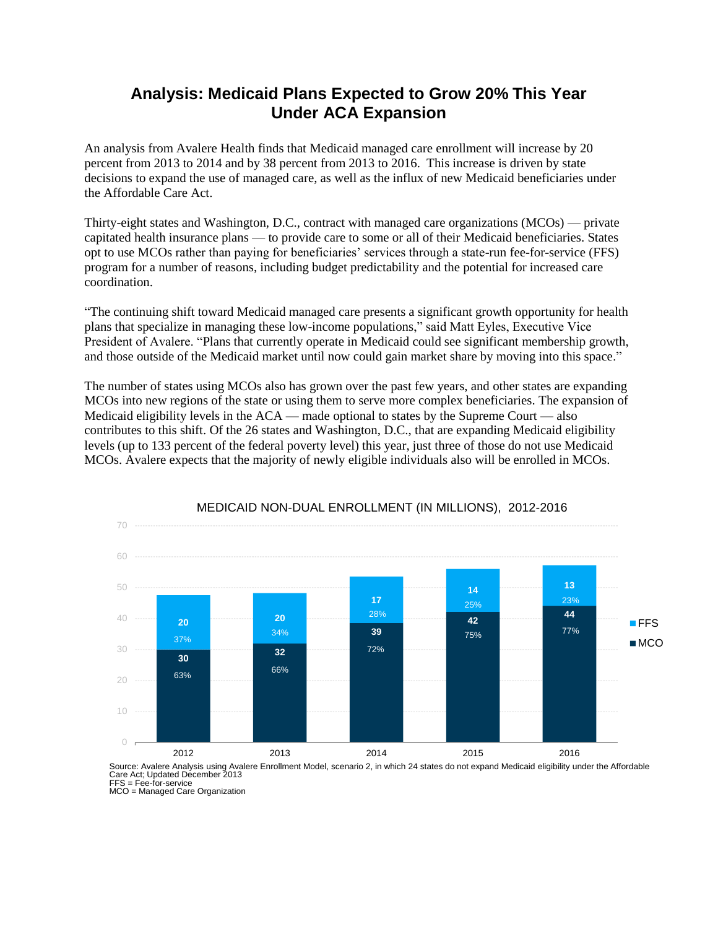## **Analysis: Medicaid Plans Expected to Grow 20% This Year Under ACA Expansion**

An analysis from Avalere Health finds that Medicaid managed care enrollment will increase by 20 percent from 2013 to 2014 and by 38 percent from 2013 to 2016. This increase is driven by state decisions to expand the use of managed care, as well as the influx of new Medicaid beneficiaries under the Affordable Care Act.

Thirty-eight states and Washington, D.C., contract with managed care organizations (MCOs) — private capitated health insurance plans — to provide care to some or all of their Medicaid beneficiaries. States opt to use MCOs rather than paying for beneficiaries' services through a state-run fee-for-service (FFS) program for a number of reasons, including budget predictability and the potential for increased care coordination.

"The continuing shift toward Medicaid managed care presents a significant growth opportunity for health plans that specialize in managing these low-income populations," said Matt Eyles, Executive Vice President of Avalere. "Plans that currently operate in Medicaid could see significant membership growth, and those outside of the Medicaid market until now could gain market share by moving into this space."

The number of states using MCOs also has grown over the past few years, and other states are expanding MCOs into new regions of the state or using them to serve more complex beneficiaries. The expansion of Medicaid eligibility levels in the ACA — made optional to states by the Supreme Court — also contributes to this shift. Of the 26 states and Washington, D.C., that are expanding Medicaid eligibility levels (up to 133 percent of the federal poverty level) this year, just three of those do not use Medicaid MCOs. Avalere expects that the majority of newly eligible individuals also will be enrolled in MCOs.



## MEDICAID NON-DUAL ENROLLMENT (IN MILLIONS), 2012-2016

Source: Avalere Analysis using Avalere Enrollment Model, scenario 2, in which 24 states do not expand Medicaid eligibility under the Affordable Care Act; Updated December 2013

FFS = Fee-for-service

MCO = Managed Care Organization